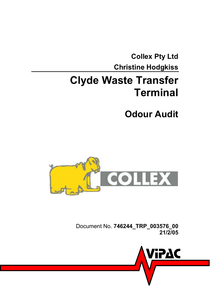<span id="page-0-0"></span>**[Collex Pty Ltd](#page-0-0)  [Christine Hodgkiss](#page-0-1)** 

## <span id="page-0-1"></span>**[Clyde Waste Transfer](#page-0-1)  [Terminal](#page-0-1)**

<span id="page-0-2"></span>**[Odour Audit](#page-0-2)** 



Document No. **[746244\\_TRP\\_003576\\_00](#page-0-3)  [21/2/05](#page-0-1)**

<span id="page-0-3"></span>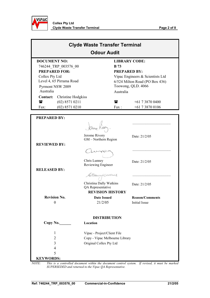

|                      | <b>Clyde Waste Transfer Terminal</b><br><b>Odour Audit</b> |                                  |                      |  |  |  |
|----------------------|------------------------------------------------------------|----------------------------------|----------------------|--|--|--|
| <b>DOCUMENT NO:</b>  |                                                            |                                  | <b>LIBRARY CODE:</b> |  |  |  |
|                      | 746244 TRP 003576 00                                       | <b>B</b> 73                      |                      |  |  |  |
| <b>PREPARED FOR:</b> |                                                            |                                  | <b>PREPARED BY:</b>  |  |  |  |
| Collex Pty Ltd       |                                                            | Vipac Engineers & Scientists Ltd |                      |  |  |  |
|                      | Level 4, 65 Pirrama Road                                   | 6/524 Milton Road (PO Box 436)   |                      |  |  |  |
|                      | Pyrmont NSW 2009                                           | Toowong, QLD. 4066               |                      |  |  |  |
| Australia            |                                                            | Australia                        |                      |  |  |  |
| Contact:             | Christine Hodgkiss                                         |                                  |                      |  |  |  |
| 雷                    | $(02)$ 8571 0211                                           | $\mathbf{r}$                     | $+61738700400$       |  |  |  |
| Fax:                 | $(02)$ 8571 0210                                           | Fax:                             | $+61738700106$       |  |  |  |
|                      |                                                            |                                  |                      |  |  |  |
| PDFPADFD RV.         |                                                            |                                  |                      |  |  |  |

| <b>PREPARED BY:</b> |                                              |                                                                                                |
|---------------------|----------------------------------------------|------------------------------------------------------------------------------------------------|
|                     | brane Rion                                   |                                                                                                |
|                     | Jerome Rivory<br>GM - Northern Region        | Date: 21/2/05                                                                                  |
| <b>REVIEWED BY:</b> |                                              |                                                                                                |
|                     |                                              |                                                                                                |
|                     | Chris Lunney<br>Reviewing Engineer           | Date: 21/2/05                                                                                  |
| <b>RELEASED BY:</b> |                                              |                                                                                                |
|                     | Coampoathus                                  |                                                                                                |
|                     | Christina Dally Watkins<br>QA Representative | Date: 21/2/05                                                                                  |
|                     | <b>REVISION HISTORY</b>                      |                                                                                                |
| <b>Revision No.</b> | <b>Date Issued</b>                           | <b>Reason/Comments</b>                                                                         |
| $\boldsymbol{0}$    | 21/2/05                                      | <b>Initial Issue</b>                                                                           |
|                     | <b>DISTRIBUTION</b>                          |                                                                                                |
| Copy No.            | Location                                     |                                                                                                |
| 1                   | Vipac - Project/Client File                  |                                                                                                |
| $\overline{2}$      | Copy - Vipac Melbourne Library               |                                                                                                |
| 3                   | Original Collex Pty Ltd                      |                                                                                                |
| 4                   |                                              |                                                                                                |
| 5                   |                                              |                                                                                                |
| <b>KEYWORDS:</b>    |                                              |                                                                                                |
| <i>NOTE</i> ·       |                                              | This is a controlled document within the document control system. If revised it must be marked |

*NOTE: This is a controlled document within the document control system. If revised, it must be marked SUPERSEDED and returned to the Vipac QA Representative.*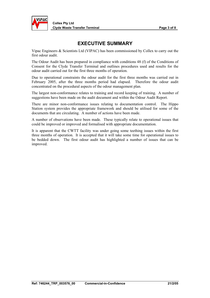

### **EXECUTIVE SUMMARY**

Vipac Engineers & Scientists Ltd (VIPAC) has been commissioned by Collex to carry out the first odour audit.

The Odour Audit has been prepared in compliance with conditions 48 (f) of the Conditions of Consent for the Clyde Transfer Terminal and outlines procedures used and results for the odour audit carried out for the first three months of operation.

Due to operational constraints the odour audit for the first three months was carried out in February 2005, after the three months period had elapsed. Therefore the odour audit concentrated on the procedural aspects of the odour management plan.

The largest non-conformance relates to training and record keeping of training. A number of suggestions have been made on the audit document and within the Odour Audit Report.

There are minor non-conformance issues relating to documentation control. The Hippo Station system provides the appropriate framework and should be utilised for some of the documents that are circulating. A number of actions have been made.

A number of observations have been made. These typically relate to operational issues that could be improved or improved and formalised with appropriate documentation.

It is apparent that the CWTT facility was under going some teething issues within the first three months of operation. It is accepted that it will take some time for operational issues to be bedded down. The first odour audit has highlighted a number of issues that can be improved.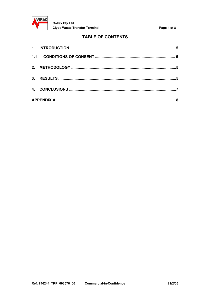

### **TABLE OF CONTENTS**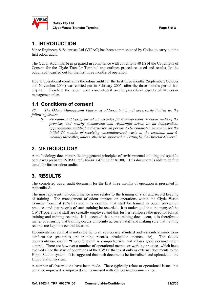<span id="page-4-0"></span>

**Collex Pty Ltd Clyde Waste Transfer Terminal Page 5 of 8** 

### **1. INTRODUCTION**

Vipac Engineers & Scientists Ltd (VIPAC) has been commissioned by Collex to carry out the first odour audit.

The Odour Audit has been prepared in compliance with conditions 48 (f) of the Conditions of Consent for the Clyde Transfer Terminal and outlines procedures used and results for the odour audit carried out for the first three months of operation.

Due to operational constraints the odour audit for the first three months (September, October and November 2004) was carried out in February 2005, after the three months period had elapsed. Therefore the odour audit concentrated on the procedural aspects of the odour management plan.

### **1.1 Conditions of consent**

*48. The Odour Management Plan must address, but is not necessarily limited to, the following issues:* 

*(f) An odour audit program which provides for a comprehensive odour audit of the premises and nearby commercial and residential areas, by an independent, appropriately qualified and experienced person, to be conducted 3-monthly for the initial 24 months of receiving uncontainerised waste at the terminal, and 6 monthly thereafter, unless otherwise approved in writing by the Director-General.* 

### **2. METHODOLOGY**

A methodology document reflecting general principles of environmental auditing and specific odour was prepared (VIPAC ref 746244\_GCO\_003536\_00). This document is able to be fine tuned for further odour audits.

### **3. RESULTS**

The completed odour audit document for the first three months of operation is presented in Appendix A.

The most apparent non-conformance issue relates to the training of staff and record keeping of training. The management of odour impacts on operations within the Clyde Waste Transfer Terminal (CWTT) and it is essential that staff be trained in odour prevention practices and that records of such training be recorded. It is understood that the many of the CWTT operational staff are casually employed and this further reinforces the need for formal training and training records. It is accepted that some training does occur, it is therefore a matter of ensuring that training occurs uniformly across all staff and making sure that training records are kept in a central location.

Documentation control is not quite up to an appropriate standard and warrants a minor nonconformance (examples are training records, production memos, etc). The Collex documentation system "Hippo Station" is comprehensive and allows good documentation control. There are however a number of operational memos or working practices which have evolved since the start of operations of the CWTT that exist only as external documents to the Hippo Station system. It is suggested that such documents be formalised and uploaded to the Hippo Station system.

A number of observations have been made. These typically relate to operational issues that could be improved or improved and formalised with appropriate documentation.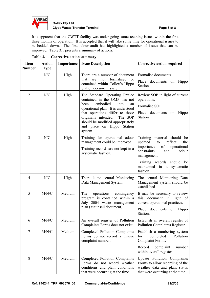

#### **Collex Pty Ltd Clyde Waste Transfer Terminal Clyde Waste Transfer Terminal According to Page 6 of 8**

It is apparent that the CWTT facility was under going some teething issues within the first three months of operation. It is accepted that it will take some time for operational issues to be bedded down. The first odour audit has highlighted a number of issues that can be improved. Table 3.1 presents a summary of actions.

| Item<br><b>Number</b> | <b>Action</b><br><b>Type</b> | Importance | <b>Issue Description</b>                                                                                                                                                                                                                                                                 | <b>Corrective action required</b>                                                                                                                                                |
|-----------------------|------------------------------|------------|------------------------------------------------------------------------------------------------------------------------------------------------------------------------------------------------------------------------------------------------------------------------------------------|----------------------------------------------------------------------------------------------------------------------------------------------------------------------------------|
| 1                     | N/C                          | High       | There are a number of document<br>formalised<br>that<br>not<br>are<br><sub>or</sub><br>contained within Collex's Hippo<br>Station document system                                                                                                                                        | Formalise documents<br>Place documents on<br>Hippo<br>Station                                                                                                                    |
| $\overline{2}$        | N/C                          | High       | The Standard Operating Pratice<br>contained in the OMP has not<br>embodied<br>into<br>heen<br>an<br>operational plan. It is understood<br>that operations differ to those<br>originally intended.<br>The SOP<br>should be modified appropriately<br>and place on Hippo Station<br>system | Review SOP in light of current<br>operations.<br>Formalise SOP.<br>Place documents on<br>Hippo<br>Station                                                                        |
| 3                     | N/C                          | High       | Training for operational odour<br>management could be improved.<br>Training records are not kept in a<br>systematic fashion.                                                                                                                                                             | Training material should<br>be<br>updated<br>reflect<br>to<br>the<br>of<br>importance<br>operational<br>constraints<br>odour<br>and<br>management.<br>Training records should be |
|                       |                              |            |                                                                                                                                                                                                                                                                                          | maintained in a systematic<br>fashion.                                                                                                                                           |
| 4                     | N/C                          | High       | There is no central Monitoring<br>Data Management System.                                                                                                                                                                                                                                | The central Monitoring Data<br>Management system should be<br>established                                                                                                        |
| 5                     | M/N/C                        | Medium     | The<br>operations<br>contingency<br>program is contained within a<br>July 2004 waste management<br>plan (Maunsell document).                                                                                                                                                             | It may be necessary to review<br>this document in light of<br>current operational practices.<br>Place documents on<br>Hippo<br>Station.                                          |
| 6                     | M/N/C                        | Medium     | An overall register of Pollution<br>Complaints Forms does not exist.                                                                                                                                                                                                                     | Establish an overall register of<br>Pollution Complaints Register.                                                                                                               |
| $\overline{7}$        | M/N/C                        | Medium     | Completed Pollution Complaints<br>Forms do not record a unique<br>complaint number.                                                                                                                                                                                                      | Establish a numbering system<br>Pollution<br>for<br>completed<br>Complaint Forms.<br>Record<br>complaint<br>number<br>within overall register                                    |
| 8                     | M/N/C                        | Medium     | Completed Pollution Complaints<br>Forms do not record weather<br>conditions and plant conditions<br>that were occurring at the time.                                                                                                                                                     | Update Pollution Complaints<br>Forms to allow recording of the<br>weather data and plant status<br>that were occurring at the time.                                              |

| Table 3.1 – Corrective action summary |  |
|---------------------------------------|--|
|                                       |  |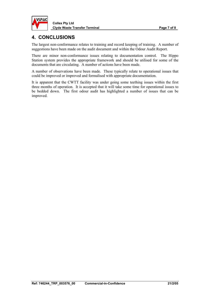<span id="page-6-0"></span>

### **4. CONCLUSIONS**

The largest non-conformance relates to training and record keeping of training. A number of suggestions have been made on the audit document and within the Odour Audit Report.

There are minor non-conformance issues relating to documentation control. The Hippo Station system provides the appropriate framework and should be utilised for some of the documents that are circulating. A number of actions have been made.

A number of observations have been made. These typically relate to operational issues that could be improved or improved and formalised with appropriate documentation.

It is apparent that the CWTT facility was under going some teething issues within the first three months of operation. It is accepted that it will take some time for operational issues to be bedded down. The first odour audit has highlighted a number of issues that can be improved.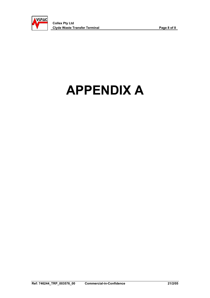<span id="page-7-0"></span>

# **APPENDIX A**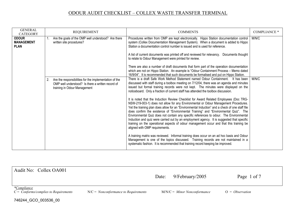| <b>GENERAL</b><br><b>CATEGORY</b>                | <b>REQUIREMENT</b>                                                                                                                             | <b>COMMENTS</b>                                                                                                                                                                                                                                                                                                                                                                                                                                                                                                                                                                                                                                                                                                                                                                                                                                                                                                                | <b>COMPLIANCE *</b> |
|--------------------------------------------------|------------------------------------------------------------------------------------------------------------------------------------------------|--------------------------------------------------------------------------------------------------------------------------------------------------------------------------------------------------------------------------------------------------------------------------------------------------------------------------------------------------------------------------------------------------------------------------------------------------------------------------------------------------------------------------------------------------------------------------------------------------------------------------------------------------------------------------------------------------------------------------------------------------------------------------------------------------------------------------------------------------------------------------------------------------------------------------------|---------------------|
| <b>ODOUR</b><br><b>MANAGEMENT</b><br><b>PLAN</b> | Are the goals of the OMP well understood? Are there<br>written site procedures?                                                                | Procedures written from OMP are kept electronically. Hippo Station documentation control<br>system (Collex Documentation Management System). When a document is added to Hippo<br>Station a documentation control number is issued and is used for reference.<br>A list of current documents was printed off and reviewed for relevancy. Documents thought<br>to relate to Odour Management were printed for review.<br>There are also a number of draft documents that form part of the operation documentation<br>which are not on Hippo Station. An example is "Odour Containment Process - Memo dated                                                                                                                                                                                                                                                                                                                      | M/N/C               |
|                                                  |                                                                                                                                                | 16/9/04". It is recommended that such documents be formalised and put on Hippo Station.                                                                                                                                                                                                                                                                                                                                                                                                                                                                                                                                                                                                                                                                                                                                                                                                                                        |                     |
|                                                  | 2. Are the responsibilities for the implementation of the<br>OMP well understood? Is there a written record of<br>training in Odour Management | There is a draft Safe Work Method Statement named Odour Containment. It has been<br>discussed with staff during a toolbox meeting on 7/12/04, there was an agenda and minutes<br>issued but formal training records were not kept. The minutes were displayed on the<br>noticeboard. Only a fraction of current staff has attended the toolbox discussion.<br>It is noted that the Induction Review Checklist for Award Related Employees (Doc TRG-<br>NSW-219-003-1) does not allow for any Environmental or Odour Management Procedures.<br>Yet the training plan does allow for an "Environmental Induction" and a check of one staff file<br>does confirm the existence of "Environmental Training" and "Environmental Quiz". The<br>Environmental Quiz does not contain any specific references to odour. The Environmental<br>Induction and quiz were carried out by an employment agency. It is suggested that specific | M/N/C               |
|                                                  |                                                                                                                                                | training on the operational aspects of odour management occur and that this training be<br>aligned with OMP requirements.<br>A training matrix was reviewed. Informal training does occur on an ad hoc basis and Odour                                                                                                                                                                                                                                                                                                                                                                                                                                                                                                                                                                                                                                                                                                         |                     |
|                                                  |                                                                                                                                                | Management is one of the topics discussed. Training records are not maintained in a<br>systematic fashion. It is recommended that training record keeping be improved.                                                                                                                                                                                                                                                                                                                                                                                                                                                                                                                                                                                                                                                                                                                                                         |                     |

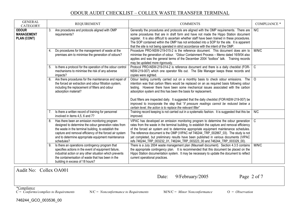| <b>GENERAL</b><br><b>CATEGORY</b>                |    | <b>REQUIREMENT</b>                                                                                                                                                                                                                                                                               | <b>COMMENTS</b>                                                                                                                                                                                                                                                                                                                                                                                                                                                                                                                                                                                      | <b>COMPLIANCE *</b> |
|--------------------------------------------------|----|--------------------------------------------------------------------------------------------------------------------------------------------------------------------------------------------------------------------------------------------------------------------------------------------------|------------------------------------------------------------------------------------------------------------------------------------------------------------------------------------------------------------------------------------------------------------------------------------------------------------------------------------------------------------------------------------------------------------------------------------------------------------------------------------------------------------------------------------------------------------------------------------------------------|---------------------|
| <b>ODOUR</b><br><b>MANAGEMENT</b><br>PLAN (CONT) | 3. | Are procedures and protocols aligned with OMP<br>requirements?                                                                                                                                                                                                                                   | Generally the procedures and protocols are aligned with the OMP requirements. There are<br>some procedures that are in draft form and have not made the Hippo Station document<br>register. It is also difficult to ascertain whether staff have been trained in these procedures.<br>The SOP contained within the OMP has not embodied into a SOP for the site. It is apparent<br>that the site is not being operated in strict accordance with the intent of the OMP.                                                                                                                              | N/C                 |
|                                                  | 4. | Do procedures for the management of waste at the<br>premises aim to minimise the generation of odours?                                                                                                                                                                                           | Procedure PRO-NSW-219-015-2 is the reference document. This document does aim to<br>minimise the generation of odour. "Odour Containment Process - Memo dated 16/9/04 also<br>applies and was the general terms of the December 2004 "toolbox" talk. Training records<br>may be updated more rigorously.                                                                                                                                                                                                                                                                                             | M/N/C               |
|                                                  |    | 5. Is there a protocol for the operation of the odour control<br>mechanisms to minimise the risk of any adverse<br>impacts?                                                                                                                                                                      | Protocol PRO-NSW-219-014-2 is reference document and there is a daily checklist (FOR-   C<br>NSW-219-007) which one operator fills out. The Site Manager keeps these records and<br>copies were sighted.                                                                                                                                                                                                                                                                                                                                                                                             |                     |
|                                                  |    | 6. Are there procedures for the maintenance and repair of<br>the forced air extraction and odour filtration system,<br>including the replacement of filters and odour<br>adsorption material?                                                                                                    | Odour testing currently carried out on a monthly basis to check odour emissions. The<br>intention was that carbon filters would be replaced on an as required basis following odour<br>testing. However there have been some mechanical issues associated with the carbon<br>adsorption system and this has been the basis for replacement.<br>Dust filters are inspected daily. It suggested that the daily checklist (FOR-NSW-219-007) be<br>improved to incorporate the step that "if pressure readings cannot be reduced below a<br>certain level, the action is to replace the relevant filter" | $\circ$             |
|                                                  |    | 7. Is there a written record of training for personnel<br>involved in items 4,5, 6 and 7?                                                                                                                                                                                                        | Training record keeping is not carried out in a systematic fashion. It is suggested that this be<br>improved.                                                                                                                                                                                                                                                                                                                                                                                                                                                                                        | N/C                 |
|                                                  |    | 8. Has there been an emission monitoring program<br>designed to determine the odour generation rates from<br>the waste in the terminal building, to establish the<br>capture and removal efficiency of the forced air system<br>and to determine appropriate equipment maintenance<br>schedules? | VIPAC has developed an emission monitoring program to determine the odour generation $\vert$ C<br>rates from the waste in the terminal building, to establish the capture and removal efficiency<br>of the forced air system and to determine appropriate equipment maintenance schedules.<br>The reference document is the OMP (VIPAC ref 746244_TRP_002867_03). The study is not<br>yet completed, but preliminary results have been published in various documents (VIPAC<br>refs 746244_TRP_003232_01, 746244_TRP_003223_00 and 746244_TRP_003329_00).                                           |                     |
|                                                  | 9. | Is there an operations contingency program that<br>specifies actions in the event of equipment failure,<br>industrial action or any other situation which prevents<br>the containerisation of waste that has been in the<br>building in excess of 18 hours?                                      | There is a July 2004 waste management plan (Maunsell document). Section 4.3.5 contains<br>the appropriate contingency plan. It is recommended that this document be placed on the<br>Hippo Station documentation system. It may be necessary to update the document to reflect<br>current operational practices.                                                                                                                                                                                                                                                                                     | M/N/C               |

Audit No: Collex OA001

Date: 9/February/2005 Page 2 of 7

*\*Compliance*

746244\_GCO\_003536\_00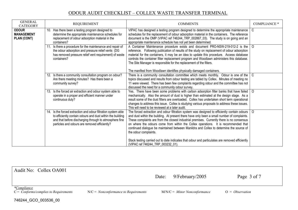| <b>GENERAL</b><br><b>CATEGORY</b>                       | <b>REQUIREMENT</b>                                                                                                                                                                                                                     | <b>COMMENTS</b>                                                                                                                                                                                                                                                                                                                                                                                                                                                                                                       | COMPLIANCE * |
|---------------------------------------------------------|----------------------------------------------------------------------------------------------------------------------------------------------------------------------------------------------------------------------------------------|-----------------------------------------------------------------------------------------------------------------------------------------------------------------------------------------------------------------------------------------------------------------------------------------------------------------------------------------------------------------------------------------------------------------------------------------------------------------------------------------------------------------------|--------------|
| <b>ODOUR</b><br><b>MANAGEMENT</b><br><b>PLAN (CONT)</b> | 10. Has there been a testing program designed to<br>determine the appropriate maintenance schedules for<br>replacement of odour adsorption material in the<br>containers?                                                              | VIPAC has designed a testing program designed to determine the appropriate maintenance<br>schedules for the replacement of odour adsorption material in the containers. The reference<br>document is the OMP (VIPAC ref 746244_TRP_002867_03). The study is on going and an<br>appropriate maintenance schedule has not yet been determined.                                                                                                                                                                          | C            |
|                                                         | 11. Is there a procedure for the maintenance and repair of<br>the odour adsorption and pressure relief vents (DG<br>has removed pressure relief vent requirement) of waste<br>containers?                                              | A Container Maintenance procedure exists and document PRO-NSW-219-012-2 is the<br>reference. Following publication of results of the study on replacement of odour adsorption<br>material for the containers, it may be an idea to update this procedure. Access database<br>controls the container filter replacement program and Woodlawn administers this database.<br>The Site Manager is responsible for the replacement of the filters.<br>The manifest from Woodlawn identifies physically damaged containers. | $\Omega$     |
|                                                         | 12. Is there a community consultation program on odour?<br>Are there meeting minutes? Has there been a<br>community survey?                                                                                                            | There is a community consultation committee which meets monthly. Odour is one of the<br>topics discussed and results from odour testing are tabled by Collex. Minutes of meeting no<br>11 were viewed. There has been few complaints regarding odour and the committee has not<br>discussed the need for a community odour survey.                                                                                                                                                                                    | C            |
|                                                         | 13. Is the forced air extraction and odour system able to<br>operate in a proper and efficient manner under<br>continuous duty?                                                                                                        | Yes. There have been some problems with carbon adsorption filter banks that have failed<br>mechanically. Also the amount of dust is higher than estimated at the design stage. As a<br>result some of the dust filters are overloaded. Collex has undertaken short term operational<br>changes to address this issue. Collex is studying various proposals to address these issues.<br>This will need to be reviewed at a later audit.                                                                                | $\circ$      |
|                                                         | 14. Is the forced extraction and odour filtration system able<br>to efficiently contain odours and dust within the building<br>and that before discharging through to atmosphere fine<br>particles and odours are removed efficiently? | The forced extraction and odour filtration system was designed to efficiently contain odours $\vert$ O<br>and dust within the building. At present there have only been a small number of complaints.<br>These complaints are from the closest industrial premises. Currently there is no consensus<br>on where the odours come from within the Collex operations. It is recommended that<br>continued dialogue be maintained between Manildra and Collex to determine the source of<br>the odour complaints.         |              |
|                                                         |                                                                                                                                                                                                                                        | Stack testing carried out to date indicates that odour and particulates are removed efficiently<br>(VIPAC ref 746244 TRP 003232 01).                                                                                                                                                                                                                                                                                                                                                                                  |              |

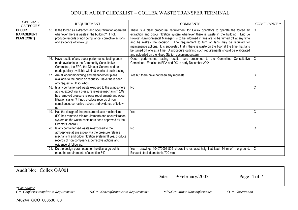| <b>GENERAL</b><br><b>CATEGORY</b>                       | <b>REQUIREMENT</b>                                                                                                                                                                                                                                                                           | <b>COMMENTS</b>                                                                                                                                                                                                                                                                                                                                                                                                                                                                                                                                                                                                                  | <b>COMPLIANCE *</b> |
|---------------------------------------------------------|----------------------------------------------------------------------------------------------------------------------------------------------------------------------------------------------------------------------------------------------------------------------------------------------|----------------------------------------------------------------------------------------------------------------------------------------------------------------------------------------------------------------------------------------------------------------------------------------------------------------------------------------------------------------------------------------------------------------------------------------------------------------------------------------------------------------------------------------------------------------------------------------------------------------------------------|---------------------|
| <b>ODOUR</b><br><b>MANAGEMENT</b><br><b>PLAN (CONT)</b> | 15. Is the forced air extraction and odour filtration operated<br>whenever there is waste in the building? If not,<br>produce records of non compliance, corrective actions<br>and evidence of follow up.                                                                                    | There is a clear procedural requirement for Collex operators to operate the forced air $\vert$ O<br>extraction and odour filtration system whenever there is waste in the building. Eric Le<br>Provost (Environmental Manager) is to be informed if fans are to be turned off at any time<br>and he makes the decision. The requirement to turn off fans may be required for<br>maintenance actions. It is suggested that if there is waste on the floor at the time that fans<br>be turned off one at a time. A procedure outlining such requirements should be elaborated<br>and uploaded on the Hippo Station document system |                     |
|                                                         | 16. Have results of any odour performance testing been<br>made available to the Community Consultative<br>Committee, the EPA, the Director General and be<br>made publicly available within 8 weeks of such testing                                                                          | Odour performance testing results have presented to the Committee Consultative   C<br>Committee. Emailed to EPA and DG in early December 2004.                                                                                                                                                                                                                                                                                                                                                                                                                                                                                   |                     |
|                                                         | 17. Are all odour monitoring and management plans<br>available to the public on request? Have there been<br>any requests? If so, who?                                                                                                                                                        | Yes but there have not been any requests.                                                                                                                                                                                                                                                                                                                                                                                                                                                                                                                                                                                        | C                   |
|                                                         | 18. Is any containerised waste exposed to the atmosphere<br>at site, except via a pressure release mechanism (DG<br>has removed pressure release requirement) and odour<br>filtration system? If not, produce records of non<br>compliance, corrective actions and evidence of follow<br>up. | No                                                                                                                                                                                                                                                                                                                                                                                                                                                                                                                                                                                                                               | C                   |
|                                                         | 19. Has the design of the pressure release mechanism<br>(DG has removed this requirement) and odour filtration<br>system on the waste containers been approved by the<br>Director General?                                                                                                   | Yes                                                                                                                                                                                                                                                                                                                                                                                                                                                                                                                                                                                                                              | C                   |
|                                                         | 20. Is any containerised waste re-exposed to the<br>atmosphere at site except via the pressure release<br>mechanism and odour filtration system? If yes, produce<br>records of non compliance, corrective actions and<br>evidence of follow up.                                              | <b>No</b>                                                                                                                                                                                                                                                                                                                                                                                                                                                                                                                                                                                                                        | C                   |
|                                                         | 21. Do the design parameters for the discharge points<br>meet the requirements of condition 84?                                                                                                                                                                                              | Yes - drawings 104070001-805 shows the exhaust height at least 14 m off the ground.<br>Exhaust stack diameter is 700 mm                                                                                                                                                                                                                                                                                                                                                                                                                                                                                                          | C                   |

| Audit No: Collex OA001                                                         |                                        | Date: | 9/February/2005                | Page 4 of 7       |
|--------------------------------------------------------------------------------|----------------------------------------|-------|--------------------------------|-------------------|
| <i>*Compliance</i><br>$C = \textit{Conforms}/\textit{complex}$ to Requirements | $N/C = Nonconformance$ to Requirements |       | $M/N/C =$ Minor Nonconformance | $O = Observation$ |

746244\_GCO\_003536\_00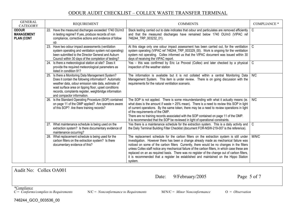| <b>GENERAL</b><br><b>CATEGORY</b>                      | <b>REQUIREMENT</b>                                                                                                                                                                                                                                                                                              | <b>COMMENTS</b>                                                                                                                                                                                                                                                                                                                                                                                                                                                                                                                                                                      | <b>COMPLIANCE *</b> |
|--------------------------------------------------------|-----------------------------------------------------------------------------------------------------------------------------------------------------------------------------------------------------------------------------------------------------------------------------------------------------------------|--------------------------------------------------------------------------------------------------------------------------------------------------------------------------------------------------------------------------------------------------------------------------------------------------------------------------------------------------------------------------------------------------------------------------------------------------------------------------------------------------------------------------------------------------------------------------------------|---------------------|
| <b>ODOUR</b><br><b>MANAGEMENT</b><br><b>PLAN (CONT</b> | 22. Have the measured discharges exceeded 1740 OU/m3<br>in testing regime? If yes, produce records of non<br>compliance, corrective actions and evidence of follow<br>up.                                                                                                                                       | Stack testing carried out to date indicates that odour and particulates are removed efficiently<br>and that the measured discharges have remained below 1740 OU/m3 (VIPAC ref<br>746244 TRP 003232 01).                                                                                                                                                                                                                                                                                                                                                                              | $\mathsf{C}$        |
|                                                        | 23. Have two odour impact assessments (ventilation<br>system operating and ventilation system not operating)<br>been submitted to the Director General and Auburn<br>Council within 30 days of the completion of testing?                                                                                       | At this stage only one odour impact assessment has been carried out, for the ventilation $\mid$ C<br>system operating (VIPAC ref 746244_TRP_003329_00). Work is ongoing for the ventilation<br>system not operating. Collex informed us that the VIPAC document was issued within 30<br>days of receiving the VIPAC report.                                                                                                                                                                                                                                                          |                     |
|                                                        | 24. Is there a meteorological station at site? Does it<br>provide the required meteorological parameters as<br>listed in condition 91?                                                                                                                                                                          | Yes - this was confirmed by Eric Le Provost (Collex) and later checked by a physical<br>inspection of the weather station                                                                                                                                                                                                                                                                                                                                                                                                                                                            | l c                 |
|                                                        | 25. Is there a Monitoring Data Management System?<br>Does it contain the following information? Automatic<br>weather data, odour emission rate data, estimate of<br>wast surface area on tipping floor, upset conditions<br>records, complaints register, weighbridge information<br>and compactor information. | The information is available but it is not collated within a central Monitoring Data<br>Management System. This item is under review. There is on going discussion with the<br>requirements for the natural ventilation scenario.                                                                                                                                                                                                                                                                                                                                                    | N/C                 |
|                                                        | 26. Is the Standard Operating Procedure (SOP) contained<br>on page 11 of the OMP applied? Are operators aware<br>of this SOP? Are there training records?                                                                                                                                                       | The SOP is not applied. There is some misunderstanding with what it actually means (ie.<br>what does is the amount if waste > 25% mean). There is a need to review this SOP in light<br>of current operations. By the same token, there may be a need to review operations in light<br>of the requirements of the OMP.<br>There are no training records associated with the SOP contained on page 11 of the OMP.<br>It is recommended that the SOP be reviewed in light of operational constraints.                                                                                  | N/C                 |
|                                                        | 27. What maintenance schedule is being used on the<br>extraction system? Is there documentary evidence of<br>maintenance occurring?                                                                                                                                                                             | Yes there is a maintenance schedule for the extraction system. This is a daily activity and<br>the Daily Terminal Building Filter Checklist (document FOR-NSW-219-007 is the reference).                                                                                                                                                                                                                                                                                                                                                                                             | $\mathsf{C}$        |
|                                                        | 28. What replacement schedule is being used for the<br>carbon filters on the extraction system? Is there<br>documentary evidence of this?                                                                                                                                                                       | The replacement schedule for the carbon filters on the extraction system is still under<br>investigation. However there has been a change already made as mechanical failure was<br>noticed on some of the carbon filters Currently, there would be no changes in the filters<br>unless Collex staff notice any mechanical failure of the carbon filters, in which case these are<br>replaced on an as required basis. There was no register of the change out of carbon filters,<br>it is recommended that a register be established and maintained on the Hippo Station<br>system. | M/N/C               |

Audit No: Collex OA001

Date: 9/February/2005 Page 5 of 7

*\*<u>Compliance</u>*<br>*C* = *Conforms/complies to Requirements* 

746244\_GCO\_003536\_00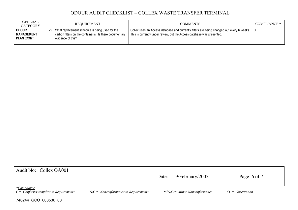| <b>GENERAL</b><br>CATEGORY                             | <b>REQUIREMENT</b>                                                                                                                 | <b>COMMENTS</b>                                                                                                                                                         | <b>COMPLIANCE *</b> |
|--------------------------------------------------------|------------------------------------------------------------------------------------------------------------------------------------|-------------------------------------------------------------------------------------------------------------------------------------------------------------------------|---------------------|
| <b>ODOUR</b><br><b>MANAGEMENT</b><br><b>PLAN (CONT</b> | 29. What replacement schedule is being used for the<br>carbon filters on the containers? Is there documentary<br>evidence of this? | Collex uses an Access database and currently filters are being changed out every 6 weeks.   C<br>This is currently under review, but the Access database was presented. |                     |

| Audit No: Collex OA001                                                     |                                        | Date: | 9/February/2005                | Page 6 of 7       |  |
|----------------------------------------------------------------------------|----------------------------------------|-------|--------------------------------|-------------------|--|
| <i>*Compliance</i><br>$C = \text{Conforms}/\text{complex to Requirements}$ | $N/C = Nonconformance to Requirements$ |       | $M/N/C =$ Minor Nonconformance | $O = Observation$ |  |
| 746244_GCO_003536_00                                                       |                                        |       |                                |                   |  |